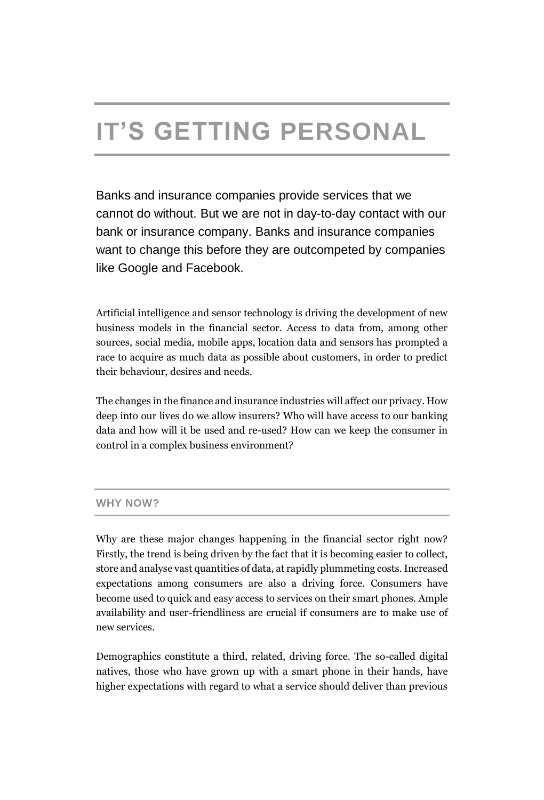# **IT'S GETTING PERSONAL**

Banks and insurance companies provide services that we cannot do without. But we are not in day-to-day contact with our bank or insurance company. Banks and insurance companies want to change this before they are outcompeted by companies like Google and Facebook.

Artificial intelligence and sensor technology is driving the development of new business models in the financial sector. Access to data from, among other sources, social media, mobile apps, location data and sensors has prompted a race to acquire as much data as possible about customers, in order to predict their behaviour, desires and needs.

The changes in the finance and insurance industries will affect our privacy. How deep into our lives do we allow insurers? Who will have access to our banking data and how will it be used and re-used? How can we keep the consumer in control in a complex business environment?

# **WHY NOW?**

Why are these major changes happening in the financial sector right now? Firstly, the trend is being driven by the fact that it is becoming easier to collect, store and analyse vast quantities of data, at rapidly plummeting costs. Increased expectations among consumers are also a driving force. Consumers have become used to quick and easy access to services on their smart phones. Ample availability and user-friendliness are crucial if consumers are to make use of new services.

Demographics constitute a third, related, driving force. The so-called digital natives, those who have grown up with a smart phone in their hands, have higher expectations with regard to what a service should deliver than previous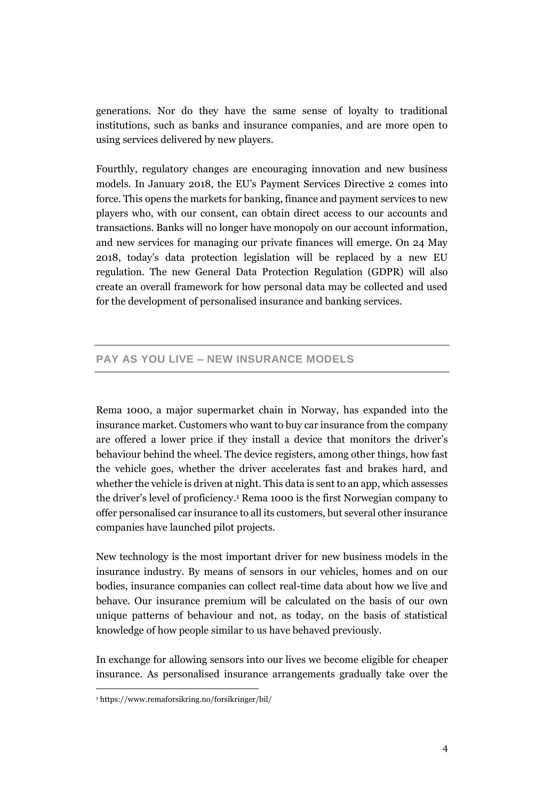generations. Nor do they have the same sense of loyalty to traditional institutions, such as banks and insurance companies, and are more open to using services delivered by new players.

Fourthly, regulatory changes are encouraging innovation and new business models. In January 2018, the EU's Payment Services Directive 2 comes into force. This opens the markets for banking, finance and payment services to new players who, with our consent, can obtain direct access to our accounts and transactions. Banks will no longer have monopoly on our account information, and new services for managing our private finances will emerge. On 24 May 2018, today's data protection legislation will be replaced by a new EU regulation. The new General Data Protection Regulation (GDPR) will also create an overall framework for how personal data may be collected and used for the development of personalised insurance and banking services.

# **PAY AS YOU LIVE – NEW INSURANCE MODELS**

Rema 1000, a major supermarket chain in Norway, has expanded into the insurance market. Customers who want to buy car insurance from the company are offered a lower price if they install a device that monitors the driver's behaviour behind the wheel. The device registers, among other things, how fast the vehicle goes, whether the driver accelerates fast and brakes hard, and whether the vehicle is driven at night. This data is sent to an app, which assesses the driver's level of proficiency. <sup>1</sup> Rema 1000 is the first Norwegian company to offer personalised car insurance to all its customers, but several other insurance companies have launched pilot projects.

New technology is the most important driver for new business models in the insurance industry. By means of sensors in our vehicles, homes and on our bodies, insurance companies can collect real-time data about how we live and behave. Our insurance premium will be calculated on the basis of our own unique patterns of behaviour and not, as today, on the basis of statistical knowledge of how people similar to us have behaved previously.

In exchange for allowing sensors into our lives we become eligible for cheaper insurance. As personalised insurance arrangements gradually take over the

<sup>1</sup> https://www.remaforsikring.no/forsikringer/bil/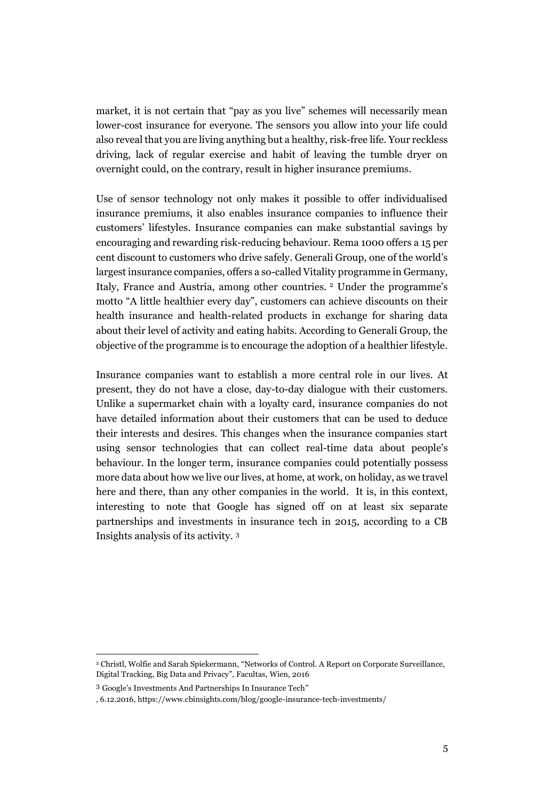market, it is not certain that "pay as you live" schemes will necessarily mean lower-cost insurance for everyone. The sensors you allow into your life could also reveal that you are living anything but a healthy, risk-free life. Your reckless driving, lack of regular exercise and habit of leaving the tumble dryer on overnight could, on the contrary, result in higher insurance premiums.

Use of sensor technology not only makes it possible to offer individualised insurance premiums, it also enables insurance companies to influence their customers' lifestyles. Insurance companies can make substantial savings by encouraging and rewarding risk-reducing behaviour. Rema 1000 offers a 15 per cent discount to customers who drive safely. Generali Group, one of the world's largest insurance companies, offers a so-called Vitality programme in Germany, Italy, France and Austria, among other countries. <sup>2</sup> Under the programme's motto "A little healthier every day", customers can achieve discounts on their health insurance and health-related products in exchange for sharing data about their level of activity and eating habits. According to Generali Group, the objective of the programme is to encourage the adoption of a healthier lifestyle.

Insurance companies want to establish a more central role in our lives. At present, they do not have a close, day-to-day dialogue with their customers. Unlike a supermarket chain with a loyalty card, insurance companies do not have detailed information about their customers that can be used to deduce their interests and desires. This changes when the insurance companies start using sensor technologies that can collect real-time data about people's behaviour. In the longer term, insurance companies could potentially possess more data about how we live our lives, at home, at work, on holiday, as we travel here and there, than any other companies in the world. It is, in this context, interesting to note that Google has signed off on at least six separate partnerships and investments in insurance tech in 2015, according to a CB Insights analysis of its activity. 3

 $\overline{a}$ 

<sup>2</sup> Christl, Wolfie and Sarah Spiekermann, "Networks of Control. A Report on Corporate Surveillance, Digital Tracking, Big Data and Privacy", Facultas, Wien, 2016

<sup>3</sup> Google's Investments And Partnerships In Insurance Tech"

<sup>, 6.12.2016,</sup> https://www.cbinsights.com/blog/google-insurance-tech-investments/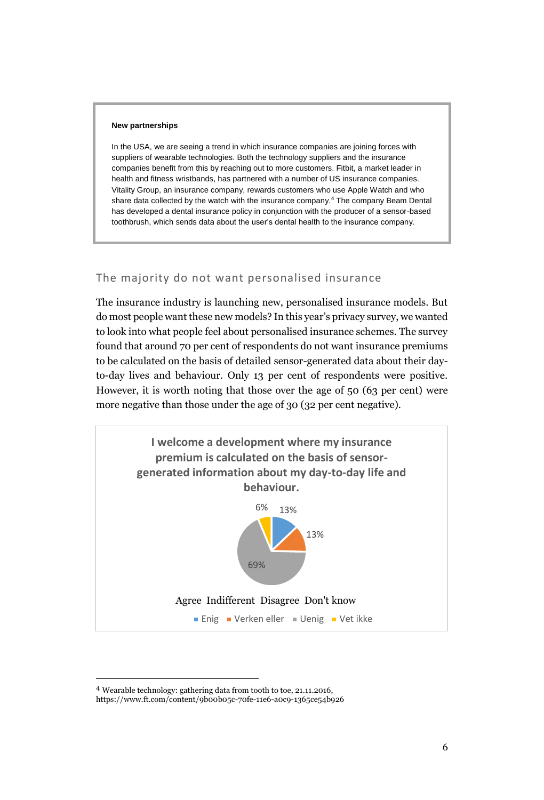#### **New partnerships**

In the USA, we are seeing a trend in which insurance companies are joining forces with suppliers of wearable technologies. Both the technology suppliers and the insurance companies benefit from this by reaching out to more customers. Fitbit, a market leader in health and fitness wristbands, has partnered with a number of US insurance companies. Vitality Group, an insurance company, rewards customers who use Apple Watch and who share data collected by the watch with the insurance company.<sup>4</sup> The company Beam Dental has developed a dental insurance policy in conjunction with the producer of a sensor-based toothbrush, which sends data about the user's dental health to the insurance company.

# The majority do not want personalised insurance

The insurance industry is launching new, personalised insurance models. But do most people want these new models? In this year's privacy survey, we wanted to look into what people feel about personalised insurance schemes. The survey found that around 70 per cent of respondents do not want insurance premiums to be calculated on the basis of detailed sensor-generated data about their dayto-day lives and behaviour. Only 13 per cent of respondents were positive. However, it is worth noting that those over the age of 50 (63 per cent) were more negative than those under the age of 30 (32 per cent negative).



 $\overline{a}$ 

<sup>4</sup> Wearable technology: gathering data from tooth to toe, 21.11.2016,

https://www.ft.com/content/9b00b05c-70fe-11e6-a0c9-1365ce54b926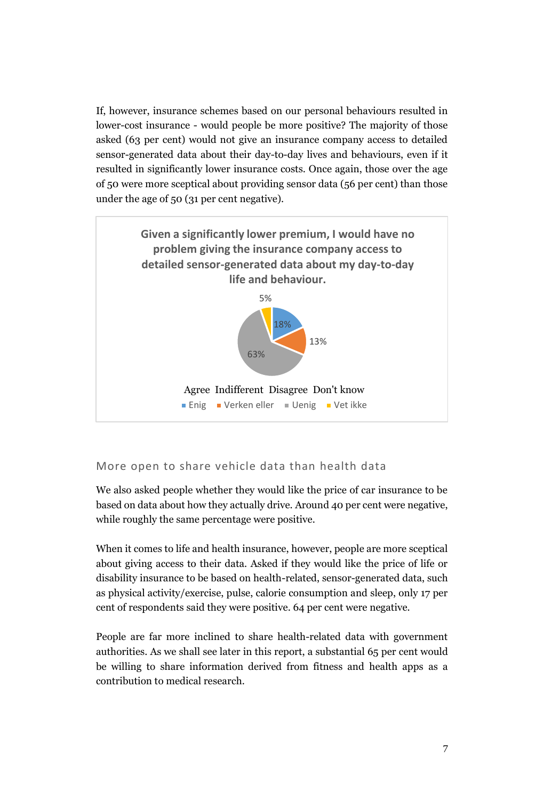If, however, insurance schemes based on our personal behaviours resulted in lower-cost insurance - would people be more positive? The majority of those asked (63 per cent) would not give an insurance company access to detailed sensor-generated data about their day-to-day lives and behaviours, even if it resulted in significantly lower insurance costs. Once again, those over the age of 50 were more sceptical about providing sensor data (56 per cent) than those under the age of 50 (31 per cent negative).



# More open to share vehicle data than health data

We also asked people whether they would like the price of car insurance to be based on data about how they actually drive. Around 40 per cent were negative, while roughly the same percentage were positive.

When it comes to life and health insurance, however, people are more sceptical about giving access to their data. Asked if they would like the price of life or disability insurance to be based on health-related, sensor-generated data, such as physical activity/exercise, pulse, calorie consumption and sleep, only 17 per cent of respondents said they were positive. 64 per cent were negative.

People are far more inclined to share health-related data with government authorities. As we shall see later in this report, a substantial 65 per cent would be willing to share information derived from fitness and health apps as a contribution to medical research.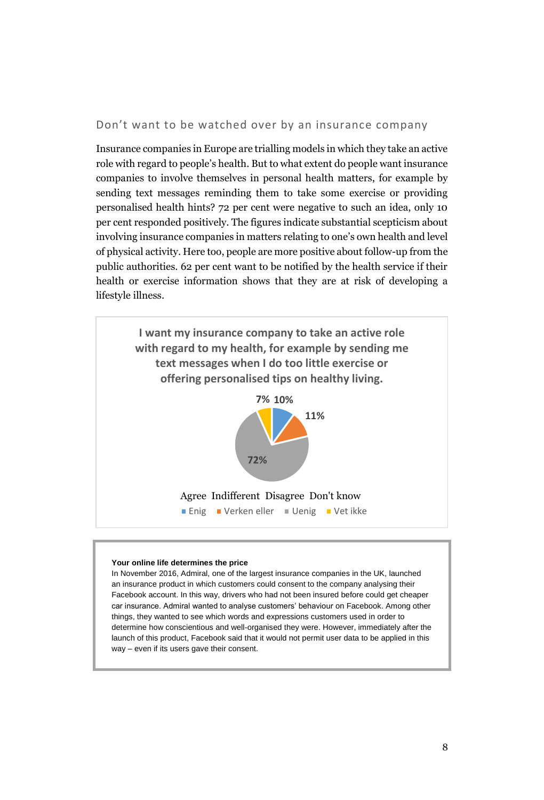Don't want to be watched over by an insurance company

Insurance companies in Europe are trialling models in which they take an active role with regard to people's health. But to what extent do people want insurance companies to involve themselves in personal health matters, for example by sending text messages reminding them to take some exercise or providing personalised health hints? 72 per cent were negative to such an idea, only 10 per cent responded positively. The figures indicate substantial scepticism about involving insurance companies in matters relating to one's own health and level of physical activity. Here too, people are more positive about follow-up from the public authorities. 62 per cent want to be notified by the health service if their health or exercise information shows that they are at risk of developing a lifestyle illness.



#### **Your online life determines the price**

In November 2016, Admiral, one of the largest insurance companies in the UK, launched an insurance product in which customers could consent to the company analysing their Facebook account. In this way, drivers who had not been insured before could get cheaper car insurance. Admiral wanted to analyse customers' behaviour on Facebook. Among other things, they wanted to see which words and expressions customers used in order to determine how conscientious and well-organised they were. However, immediately after the launch of this product, Facebook said that it would not permit user data to be applied in this way – even if its users gave their consent.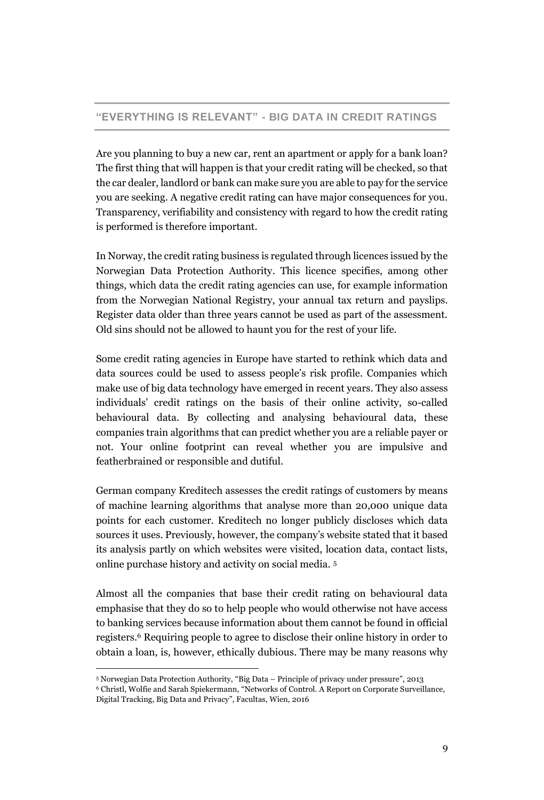# **"EVERYTHING IS RELEVANT" - BIG DATA IN CREDIT RATINGS**

Are you planning to buy a new car, rent an apartment or apply for a bank loan? The first thing that will happen is that your credit rating will be checked, so that the car dealer, landlord or bank can make sure you are able to pay for the service you are seeking. A negative credit rating can have major consequences for you. Transparency, verifiability and consistency with regard to how the credit rating is performed is therefore important.

In Norway, the credit rating business is regulated through licences issued by the Norwegian Data Protection Authority. This licence specifies, among other things, which data the credit rating agencies can use, for example information from the Norwegian National Registry, your annual tax return and payslips. Register data older than three years cannot be used as part of the assessment. Old sins should not be allowed to haunt you for the rest of your life.

Some credit rating agencies in Europe have started to rethink which data and data sources could be used to assess people's risk profile. Companies which make use of big data technology have emerged in recent years. They also assess individuals' credit ratings on the basis of their online activity, so-called behavioural data. By collecting and analysing behavioural data, these companies train algorithms that can predict whether you are a reliable payer or not. Your online footprint can reveal whether you are impulsive and featherbrained or responsible and dutiful.

German company Kreditech assesses the credit ratings of customers by means of machine learning algorithms that analyse more than 20,000 unique data points for each customer. Kreditech no longer publicly discloses which data sources it uses. Previously, however, the company's website stated that it based its analysis partly on which websites were visited, location data, contact lists, online purchase history and activity on social media. 5

Almost all the companies that base their credit rating on behavioural data emphasise that they do so to help people who would otherwise not have access to banking services because information about them cannot be found in official registers. <sup>6</sup> Requiring people to agree to disclose their online history in order to obtain a loan, is, however, ethically dubious. There may be many reasons why

<sup>5</sup> Norwegian Data Protection Authority, "Big Data – Principle of privacy under pressure", 2013

<sup>6</sup> Christl, Wolfie and Sarah Spiekermann, "Networks of Control. A Report on Corporate Surveillance, Digital Tracking, Big Data and Privacy", Facultas, Wien, 2016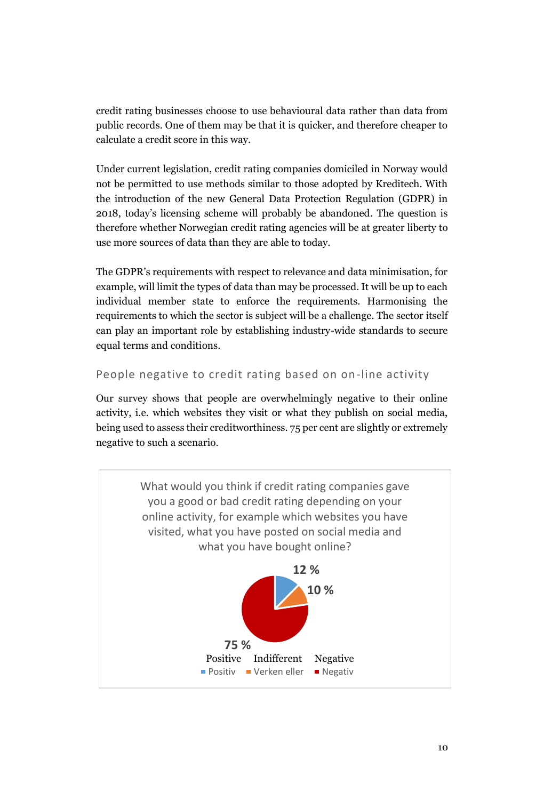credit rating businesses choose to use behavioural data rather than data from public records. One of them may be that it is quicker, and therefore cheaper to calculate a credit score in this way.

Under current legislation, credit rating companies domiciled in Norway would not be permitted to use methods similar to those adopted by Kreditech. With the introduction of the new General Data Protection Regulation (GDPR) in 2018, today's licensing scheme will probably be abandoned. The question is therefore whether Norwegian credit rating agencies will be at greater liberty to use more sources of data than they are able to today.

The GDPR's requirements with respect to relevance and data minimisation, for example, will limit the types of data than may be processed. It will be up to each individual member state to enforce the requirements. Harmonising the requirements to which the sector is subject will be a challenge. The sector itself can play an important role by establishing industry-wide standards to secure equal terms and conditions.

People negative to credit rating based on on-line activity

Our survey shows that people are overwhelmingly negative to their online activity, i.e. which websites they visit or what they publish on social media, being used to assess their creditworthiness. 75 per cent are slightly or extremely negative to such a scenario.

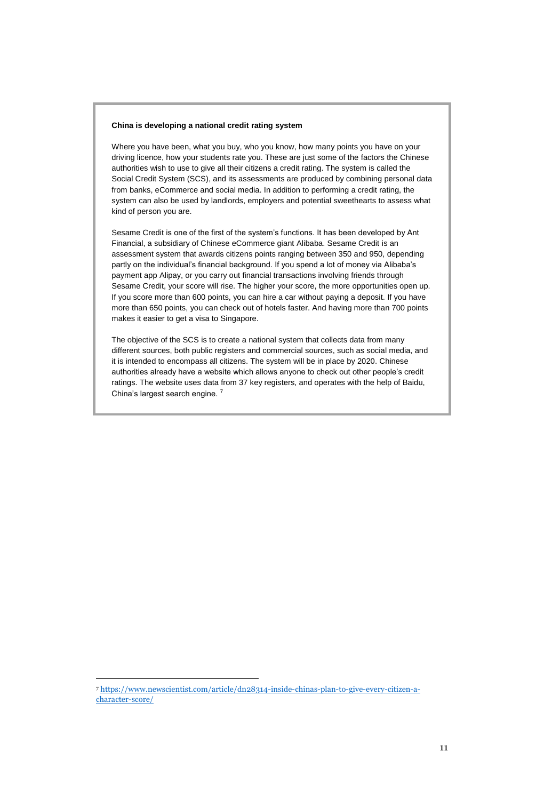### **China is developing a national credit rating system**

Where you have been, what you buy, who you know, how many points you have on your driving licence, how your students rate you. These are just some of the factors the Chinese authorities wish to use to give all their citizens a credit rating. The system is called the Social Credit System (SCS), and its assessments are produced by combining personal data from banks, eCommerce and social media. In addition to performing a credit rating, the system can also be used by landlords, employers and potential sweethearts to assess what kind of person you are.

Sesame Credit is one of the first of the system's functions. It has been developed by Ant Financial, a subsidiary of Chinese eCommerce giant Alibaba. Sesame Credit is an assessment system that awards citizens points ranging between 350 and 950, depending partly on the individual's financial background. If you spend a lot of money via Alibaba's payment app Alipay, or you carry out financial transactions involving friends through Sesame Credit, your score will rise. The higher your score, the more opportunities open up. If you score more than 600 points, you can hire a car without paying a deposit. If you have more than 650 points, you can check out of hotels faster. And having more than 700 points makes it easier to get a visa to Singapore.

The objective of the SCS is to create a national system that collects data from many different sources, both public registers and commercial sources, such as social media, and it is intended to encompass all citizens. The system will be in place by 2020. Chinese authorities already have a website which allows anyone to check out other people's credit ratings. The website uses data from 37 key registers, and operates with the help of Baidu, China's largest search engine. <sup>7</sup>

<sup>7</sup> [https://www.newscientist.com/article/dn28314-inside-chinas-plan-to-give-every-citizen-a](https://www.newscientist.com/article/dn28314-inside-chinas-plan-to-give-every-citizen-a-character-score/)[character-score/](https://www.newscientist.com/article/dn28314-inside-chinas-plan-to-give-every-citizen-a-character-score/)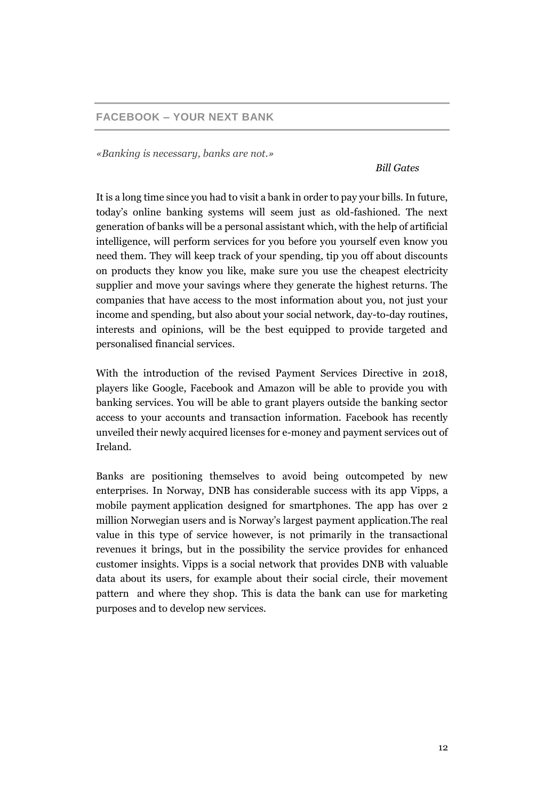# **FACEBOOK – YOUR NEXT BANK**

*«Banking is necessary, banks are not.»*

*Bill Gates*

It is a long time since you had to visit a bank in order to pay your bills. In future, today's online banking systems will seem just as old-fashioned. The next generation of banks will be a personal assistant which, with the help of artificial intelligence, will perform services for you before you yourself even know you need them. They will keep track of your spending, tip you off about discounts on products they know you like, make sure you use the cheapest electricity supplier and move your savings where they generate the highest returns. The companies that have access to the most information about you, not just your income and spending, but also about your social network, day-to-day routines, interests and opinions, will be the best equipped to provide targeted and personalised financial services.

With the introduction of the revised Payment Services Directive in 2018, players like Google, Facebook and Amazon will be able to provide you with banking services. You will be able to grant players outside the banking sector access to your accounts and transaction information. Facebook has recently unveiled their newly acquired licenses for e-money and payment services out of Ireland.

Banks are positioning themselves to avoid being outcompeted by new enterprises. In Norway, DNB has considerable success with its app Vipps, a mobile payment application designed for smartphones. The app has over 2 million Norwegian users and is Norway's largest payment application.The real value in this type of service however, is not primarily in the transactional revenues it brings, but in the possibility the service provides for enhanced customer insights. Vipps is a social network that provides DNB with valuable data about its users, for example about their social circle, their movement pattern and where they shop. This is data the bank can use for marketing purposes and to develop new services.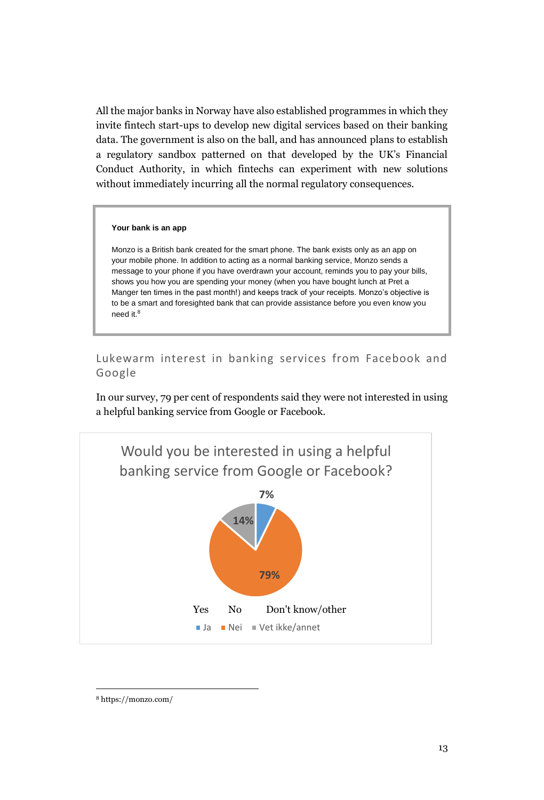All the major banks in Norway have also established programmes in which they invite fintech start-ups to develop new digital services based on their banking data. The government is also on the ball, and has announced plans to establish a regulatory sandbox patterned on that developed by the UK's Financial Conduct Authority, in which fintechs can experiment with new solutions without immediately incurring all the normal regulatory consequences.

### **Your bank is an app**

Monzo is a British bank created for the smart phone. The bank exists only as an app on your mobile phone. In addition to acting as a normal banking service, Monzo sends a message to your phone if you have overdrawn your account, reminds you to pay your bills, shows you how you are spending your money (when you have bought lunch at Pret a Manger ten times in the past month!) and keeps track of your receipts. Monzo's objective is to be a smart and foresighted bank that can provide assistance before you even know you need it. 8

Lukewarm interest in banking services from Facebook and Google

In our survey, 79 per cent of respondents said they were not interested in using a helpful banking service from Google or Facebook.



<sup>8</sup> https://monzo.com/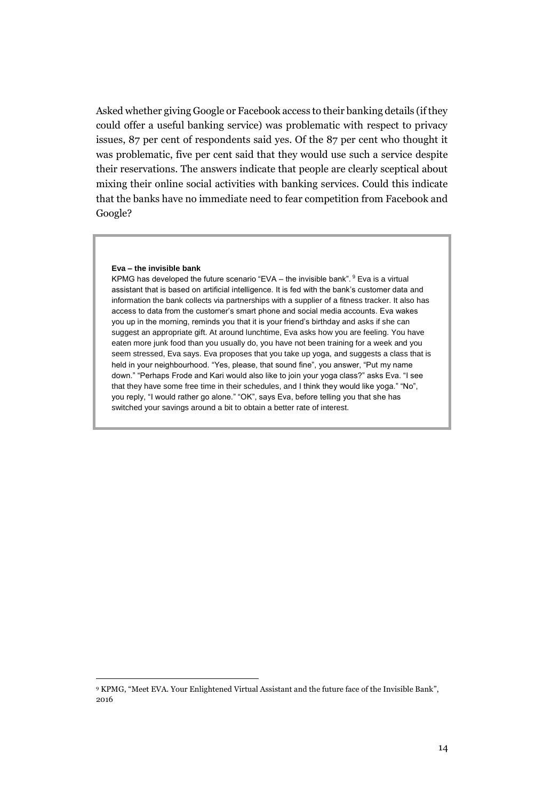Asked whether giving Google or Facebook access to their banking details (if they could offer a useful banking service) was problematic with respect to privacy issues, 87 per cent of respondents said yes. Of the 87 per cent who thought it was problematic, five per cent said that they would use such a service despite their reservations. The answers indicate that people are clearly sceptical about mixing their online social activities with banking services. Could this indicate that the banks have no immediate need to fear competition from Facebook and Google?

### **Eva – the invisible bank**

j

KPMG has developed the future scenario "EVA – the invisible bank".  $9$  Eva is a virtual assistant that is based on artificial intelligence. It is fed with the bank's customer data and information the bank collects via partnerships with a supplier of a fitness tracker. It also has access to data from the customer's smart phone and social media accounts. Eva wakes you up in the morning, reminds you that it is your friend's birthday and asks if she can suggest an appropriate gift. At around lunchtime, Eva asks how you are feeling. You have eaten more junk food than you usually do, you have not been training for a week and you seem stressed, Eva says. Eva proposes that you take up yoga, and suggests a class that is held in your neighbourhood. "Yes, please, that sound fine", you answer, "Put my name down." "Perhaps Frode and Kari would also like to join your yoga class?" asks Eva. "I see that they have some free time in their schedules, and I think they would like yoga." "No", you reply, "I would rather go alone." "OK", says Eva, before telling you that she has switched your savings around a bit to obtain a better rate of interest.

<sup>9</sup> KPMG, "Meet EVA. Your Enlightened Virtual Assistant and the future face of the Invisible Bank", 2016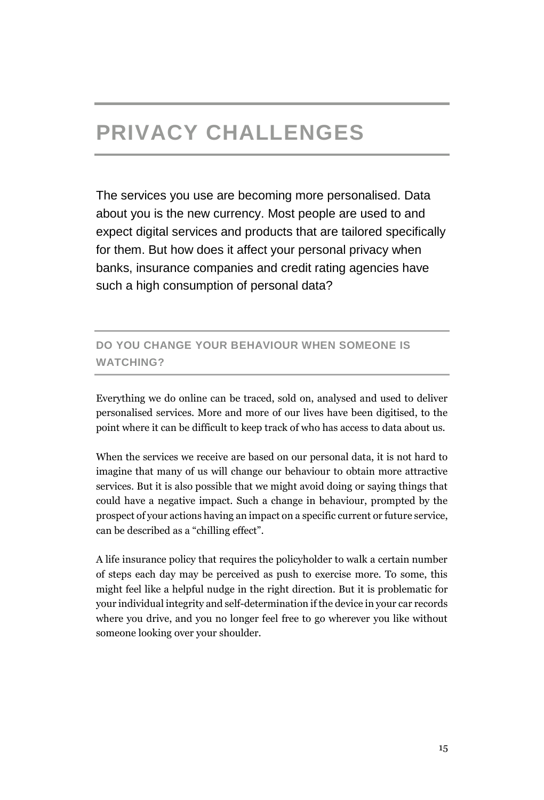# **PRIVACY CHALLENGES**

The services you use are becoming more personalised. Data about you is the new currency. Most people are used to and expect digital services and products that are tailored specifically for them. But how does it affect your personal privacy when banks, insurance companies and credit rating agencies have such a high consumption of personal data?

# **DO YOU CHANGE YOUR BEHAVIOUR WHEN SOMEONE IS WATCHING?**

Everything we do online can be traced, sold on, analysed and used to deliver personalised services. More and more of our lives have been digitised, to the point where it can be difficult to keep track of who has access to data about us.

When the services we receive are based on our personal data, it is not hard to imagine that many of us will change our behaviour to obtain more attractive services. But it is also possible that we might avoid doing or saying things that could have a negative impact. Such a change in behaviour, prompted by the prospect of your actions having an impact on a specific current or future service, can be described as a "chilling effect".

A life insurance policy that requires the policyholder to walk a certain number of steps each day may be perceived as push to exercise more. To some, this might feel like a helpful nudge in the right direction. But it is problematic for your individual integrity and self-determination if the device in your car records where you drive, and you no longer feel free to go wherever you like without someone looking over your shoulder.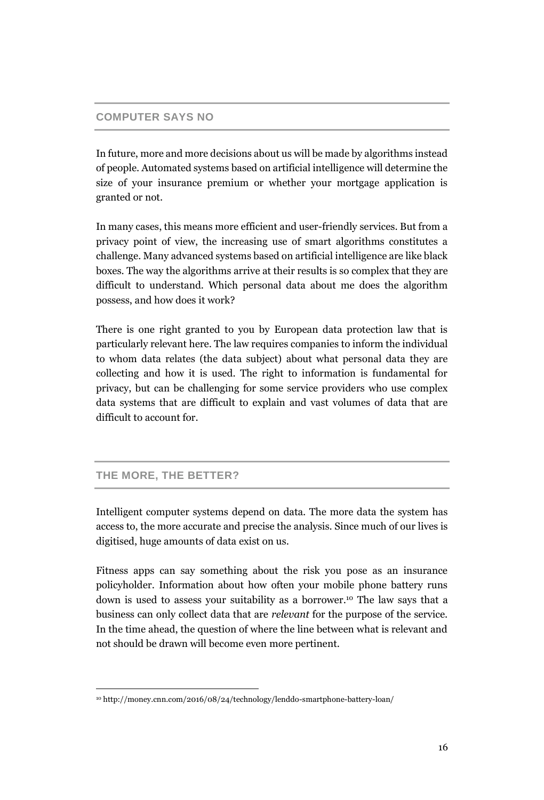## **COMPUTER SAYS NO**

In future, more and more decisions about us will be made by algorithms instead of people. Automated systems based on artificial intelligence will determine the size of your insurance premium or whether your mortgage application is granted or not.

In many cases, this means more efficient and user-friendly services. But from a privacy point of view, the increasing use of smart algorithms constitutes a challenge. Many advanced systems based on artificial intelligence are like black boxes. The way the algorithms arrive at their results is so complex that they are difficult to understand. Which personal data about me does the algorithm possess, and how does it work?

There is one right granted to you by European data protection law that is particularly relevant here. The law requires companies to inform the individual to whom data relates (the data subject) about what personal data they are collecting and how it is used. The right to information is fundamental for privacy, but can be challenging for some service providers who use complex data systems that are difficult to explain and vast volumes of data that are difficult to account for.

## **THE MORE, THE BETTER?**

j

Intelligent computer systems depend on data. The more data the system has access to, the more accurate and precise the analysis. Since much of our lives is digitised, huge amounts of data exist on us.

Fitness apps can say something about the risk you pose as an insurance policyholder. Information about how often your mobile phone battery runs down is used to assess your suitability as a borrower. <sup>10</sup> The law says that a business can only collect data that are *relevant* for the purpose of the service. In the time ahead, the question of where the line between what is relevant and not should be drawn will become even more pertinent.

<sup>10</sup> http://money.cnn.com/2016/08/24/technology/lenddo-smartphone-battery-loan/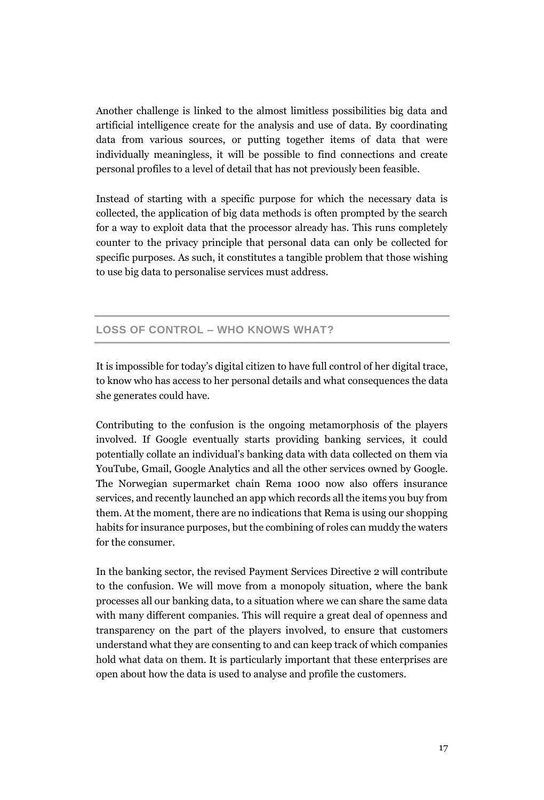Another challenge is linked to the almost limitless possibilities big data and artificial intelligence create for the analysis and use of data. By coordinating data from various sources, or putting together items of data that were individually meaningless, it will be possible to find connections and create personal profiles to a level of detail that has not previously been feasible.

Instead of starting with a specific purpose for which the necessary data is collected, the application of big data methods is often prompted by the search for a way to exploit data that the processor already has. This runs completely counter to the privacy principle that personal data can only be collected for specific purposes. As such, it constitutes a tangible problem that those wishing to use big data to personalise services must address.

# **LOSS OF CONTROL – WHO KNOWS WHAT?**

It is impossible for today's digital citizen to have full control of her digital trace, to know who has access to her personal details and what consequences the data she generates could have.

Contributing to the confusion is the ongoing metamorphosis of the players involved. If Google eventually starts providing banking services, it could potentially collate an individual's banking data with data collected on them via YouTube, Gmail, Google Analytics and all the other services owned by Google. The Norwegian supermarket chain Rema 1000 now also offers insurance services, and recently launched an app which records all the items you buy from them. At the moment, there are no indications that Rema is using our shopping habits for insurance purposes, but the combining of roles can muddy the waters for the consumer.

In the banking sector, the revised Payment Services Directive 2 will contribute to the confusion. We will move from a monopoly situation, where the bank processes all our banking data, to a situation where we can share the same data with many different companies. This will require a great deal of openness and transparency on the part of the players involved, to ensure that customers understand what they are consenting to and can keep track of which companies hold what data on them. It is particularly important that these enterprises are open about how the data is used to analyse and profile the customers.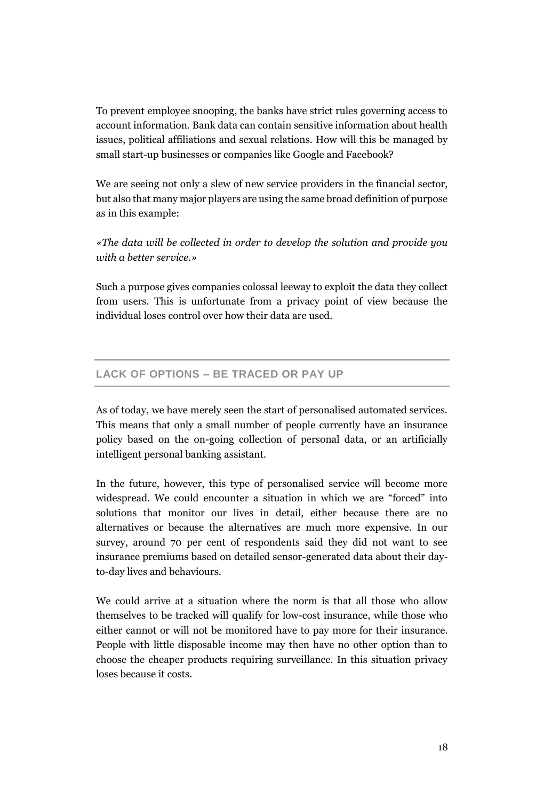To prevent employee snooping, the banks have strict rules governing access to account information. Bank data can contain sensitive information about health issues, political affiliations and sexual relations. How will this be managed by small start-up businesses or companies like Google and Facebook?

We are seeing not only a slew of new service providers in the financial sector, but also that many major players are using the same broad definition of purpose as in this example:

*«The data will be collected in order to develop the solution and provide you with a better service.»*

Such a purpose gives companies colossal leeway to exploit the data they collect from users. This is unfortunate from a privacy point of view because the individual loses control over how their data are used.

# **LACK OF OPTIONS – BE TRACED OR PAY UP**

As of today, we have merely seen the start of personalised automated services. This means that only a small number of people currently have an insurance policy based on the on-going collection of personal data, or an artificially intelligent personal banking assistant.

In the future, however, this type of personalised service will become more widespread. We could encounter a situation in which we are "forced" into solutions that monitor our lives in detail, either because there are no alternatives or because the alternatives are much more expensive. In our survey, around 70 per cent of respondents said they did not want to see insurance premiums based on detailed sensor-generated data about their dayto-day lives and behaviours.

We could arrive at a situation where the norm is that all those who allow themselves to be tracked will qualify for low-cost insurance, while those who either cannot or will not be monitored have to pay more for their insurance. People with little disposable income may then have no other option than to choose the cheaper products requiring surveillance. In this situation privacy loses because it costs.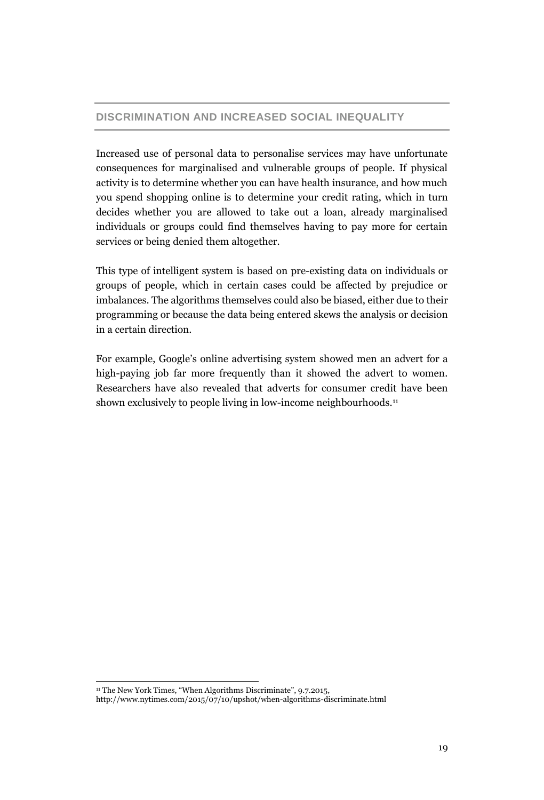# **DISCRIMINATION AND INCREASED SOCIAL INEQUALITY**

Increased use of personal data to personalise services may have unfortunate consequences for marginalised and vulnerable groups of people. If physical activity is to determine whether you can have health insurance, and how much you spend shopping online is to determine your credit rating, which in turn decides whether you are allowed to take out a loan, already marginalised individuals or groups could find themselves having to pay more for certain services or being denied them altogether.

This type of intelligent system is based on pre-existing data on individuals or groups of people, which in certain cases could be affected by prejudice or imbalances. The algorithms themselves could also be biased, either due to their programming or because the data being entered skews the analysis or decision in a certain direction.

For example, Google's online advertising system showed men an advert for a high-paying job far more frequently than it showed the advert to women. Researchers have also revealed that adverts for consumer credit have been shown exclusively to people living in low-income neighbourhoods.<sup>11</sup>

 $\overline{a}$ 

<sup>&</sup>lt;sup>11</sup> The New York Times, "When Algorithms Discriminate", 9.7.2015,

http://www.nytimes.com/2015/07/10/upshot/when-algorithms-discriminate.html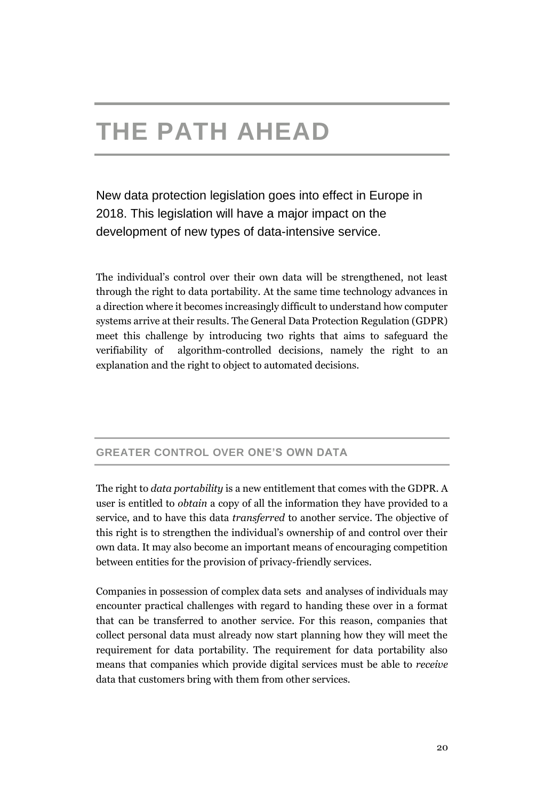# **THE PATH AHEAD**

New data protection legislation goes into effect in Europe in 2018. This legislation will have a major impact on the development of new types of data-intensive service.

The individual's control over their own data will be strengthened, not least through the right to data portability. At the same time technology advances in a direction where it becomes increasingly difficult to understand how computer systems arrive at their results. The General Data Protection Regulation (GDPR) meet this challenge by introducing two rights that aims to safeguard the verifiability of algorithm-controlled decisions, namely the right to an explanation and the right to object to automated decisions.

# **GREATER CONTROL OVER ONE'S OWN DATA**

The right to *data portability* is a new entitlement that comes with the GDPR. A user is entitled to *obtain* a copy of all the information they have provided to a service, and to have this data *transferred* to another service. The objective of this right is to strengthen the individual's ownership of and control over their own data. It may also become an important means of encouraging competition between entities for the provision of privacy-friendly services.

Companies in possession of complex data sets and analyses of individuals may encounter practical challenges with regard to handing these over in a format that can be transferred to another service. For this reason, companies that collect personal data must already now start planning how they will meet the requirement for data portability. The requirement for data portability also means that companies which provide digital services must be able to *receive* data that customers bring with them from other services.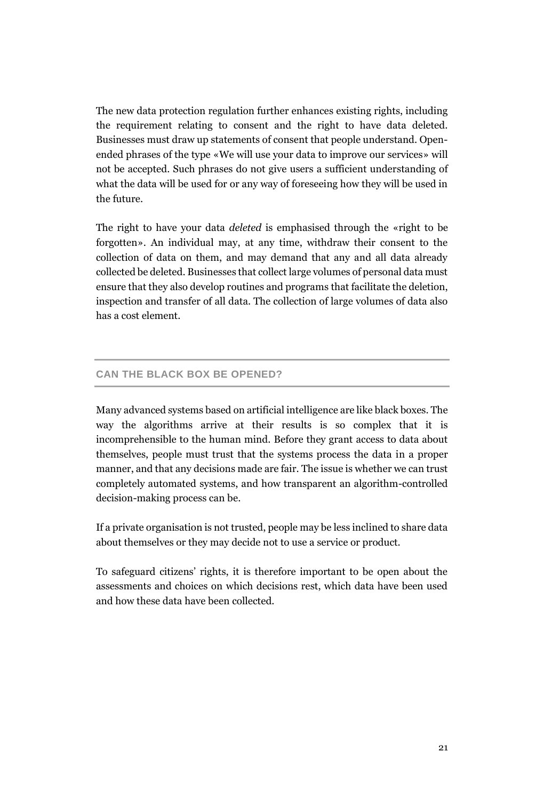The new data protection regulation further enhances existing rights, including the requirement relating to consent and the right to have data deleted. Businesses must draw up statements of consent that people understand. Openended phrases of the type «We will use your data to improve our services» will not be accepted. Such phrases do not give users a sufficient understanding of what the data will be used for or any way of foreseeing how they will be used in the future.

The right to have your data *deleted* is emphasised through the «right to be forgotten». An individual may, at any time, withdraw their consent to the collection of data on them, and may demand that any and all data already collected be deleted. Businesses that collect large volumes of personal data must ensure that they also develop routines and programs that facilitate the deletion, inspection and transfer of all data. The collection of large volumes of data also has a cost element.

## **CAN THE BLACK BOX BE OPENED?**

Many advanced systems based on artificial intelligence are like black boxes. The way the algorithms arrive at their results is so complex that it is incomprehensible to the human mind. Before they grant access to data about themselves, people must trust that the systems process the data in a proper manner, and that any decisions made are fair. The issue is whether we can trust completely automated systems, and how transparent an algorithm-controlled decision-making process can be.

If a private organisation is not trusted, people may be less inclined to share data about themselves or they may decide not to use a service or product.

To safeguard citizens' rights, it is therefore important to be open about the assessments and choices on which decisions rest, which data have been used and how these data have been collected.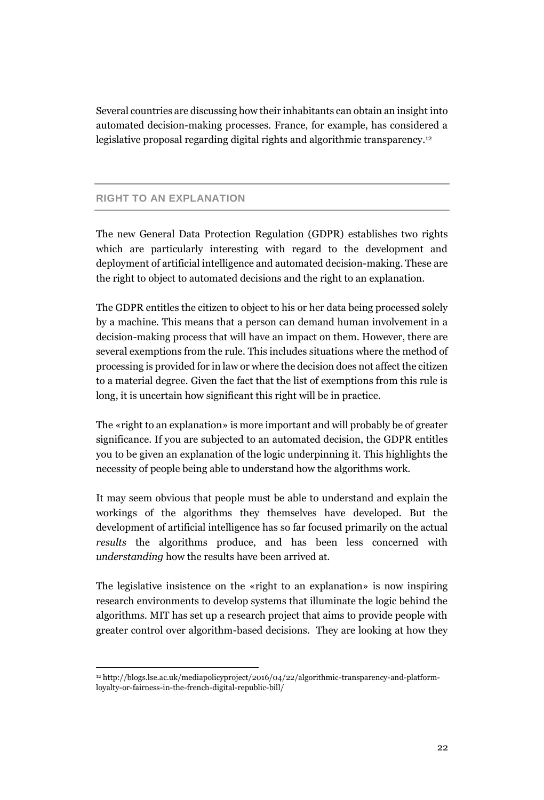Several countries are discussing how their inhabitants can obtain an insight into automated decision-making processes. France, for example, has considered a legislative proposal regarding digital rights and algorithmic transparency. 12

## **RIGHT TO AN EXPLANATION**

 $\overline{a}$ 

The new General Data Protection Regulation (GDPR) establishes two rights which are particularly interesting with regard to the development and deployment of artificial intelligence and automated decision-making. These are the right to object to automated decisions and the right to an explanation.

The GDPR entitles the citizen to object to his or her data being processed solely by a machine. This means that a person can demand human involvement in a decision-making process that will have an impact on them. However, there are several exemptions from the rule. This includes situations where the method of processing is provided for in law or where the decision does not affect the citizen to a material degree. Given the fact that the list of exemptions from this rule is long, it is uncertain how significant this right will be in practice.

The «right to an explanation» is more important and will probably be of greater significance. If you are subjected to an automated decision, the GDPR entitles you to be given an explanation of the logic underpinning it. This highlights the necessity of people being able to understand how the algorithms work.

It may seem obvious that people must be able to understand and explain the workings of the algorithms they themselves have developed. But the development of artificial intelligence has so far focused primarily on the actual *results* the algorithms produce, and has been less concerned with *understanding* how the results have been arrived at.

The legislative insistence on the «right to an explanation» is now inspiring research environments to develop systems that illuminate the logic behind the algorithms. MIT has set up a research project that aims to provide people with greater control over algorithm-based decisions. They are looking at how they

<sup>12</sup> http://blogs.lse.ac.uk/mediapolicyproject/2016/04/22/algorithmic-transparency-and-platformloyalty-or-fairness-in-the-french-digital-republic-bill/